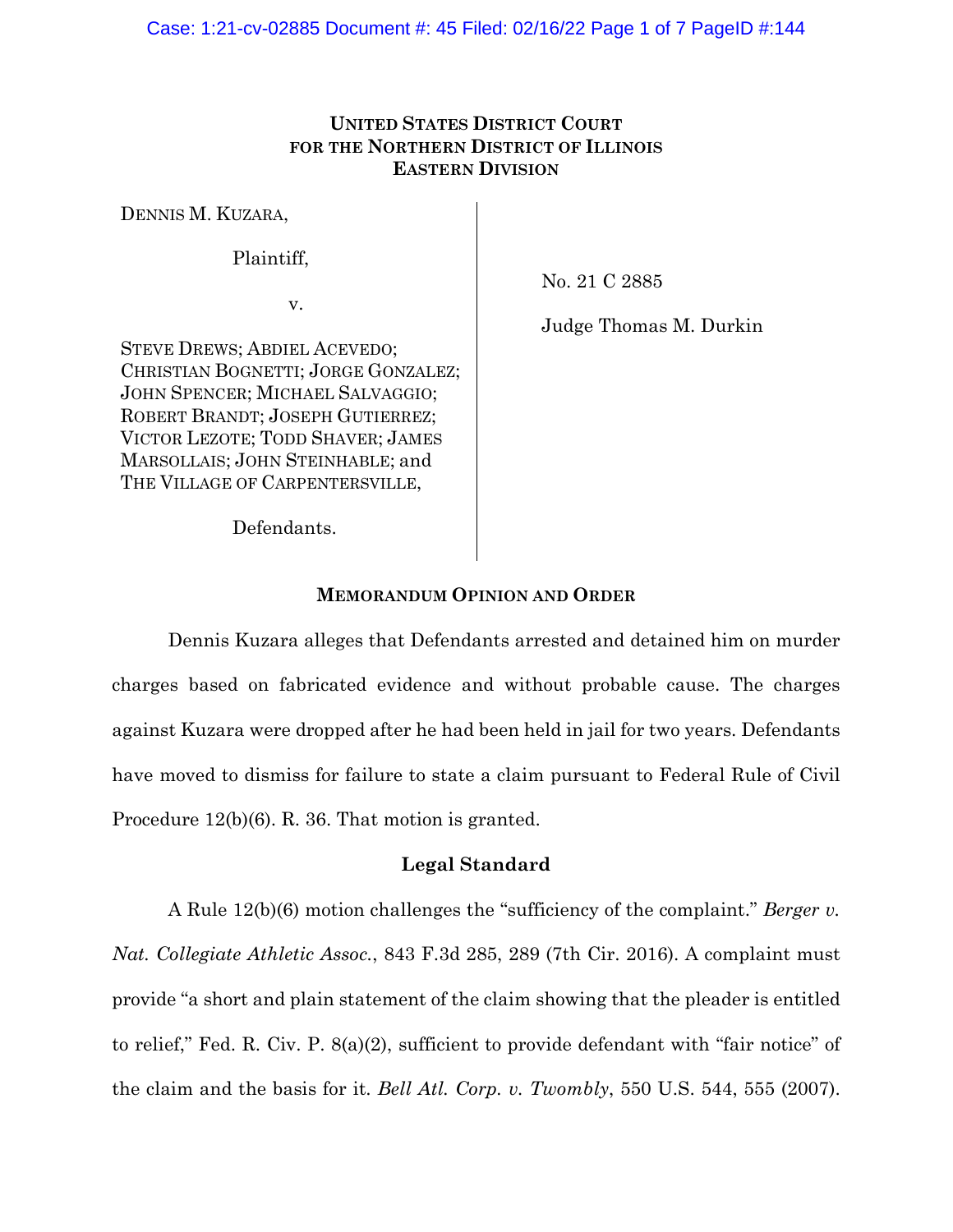# **UNITED STATES DISTRICT COURT FOR THE NORTHERN DISTRICT OF ILLINOIS EASTERN DIVISION**

DENNIS M. KUZARA,

Plaintiff,

v.

No. 21 C 2885

STEVE DREWS; ABDIEL ACEVEDO; CHRISTIAN BOGNETTI; JORGE GONZALEZ; JOHN SPENCER; MICHAEL SALVAGGIO; ROBERT BRANDT; JOSEPH GUTIERREZ; VICTOR LEZOTE; TODD SHAVER; JAMES MARSOLLAIS; JOHN STEINHABLE; and THE VILLAGE OF CARPENTERSVILLE,

Judge Thomas M. Durkin

Defendants.

## **MEMORANDUM OPINION AND ORDER**

Dennis Kuzara alleges that Defendants arrested and detained him on murder charges based on fabricated evidence and without probable cause. The charges against Kuzara were dropped after he had been held in jail for two years. Defendants have moved to dismiss for failure to state a claim pursuant to Federal Rule of Civil Procedure 12(b)(6). R. 36. That motion is granted.

# **Legal Standard**

A Rule 12(b)(6) motion challenges the "sufficiency of the complaint." *Berger v. Nat. Collegiate Athletic Assoc.*, 843 F.3d 285, 289 (7th Cir. 2016). A complaint must provide "a short and plain statement of the claim showing that the pleader is entitled to relief," Fed. R. Civ. P. 8(a)(2), sufficient to provide defendant with "fair notice" of the claim and the basis for it. *Bell Atl. Corp. v. Twombly*, 550 U.S. 544, 555 (2007).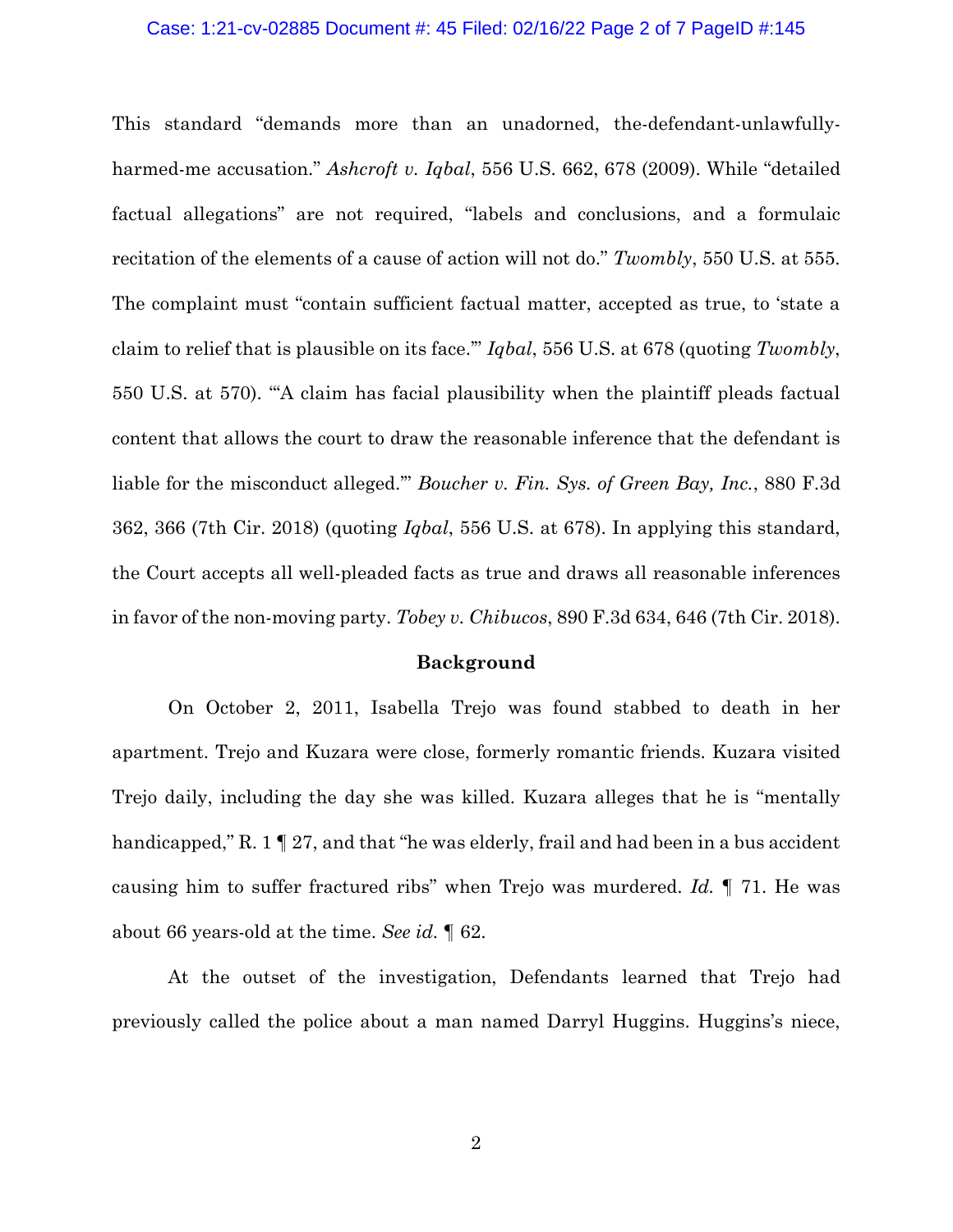#### Case: 1:21-cv-02885 Document #: 45 Filed: 02/16/22 Page 2 of 7 PageID #:145

This standard "demands more than an unadorned, the-defendant-unlawfullyharmed-me accusation." *Ashcroft v. Iqbal*, 556 U.S. 662, 678 (2009). While "detailed factual allegations" are not required, "labels and conclusions, and a formulaic recitation of the elements of a cause of action will not do." *Twombly*, 550 U.S. at 555. The complaint must "contain sufficient factual matter, accepted as true, to 'state a claim to relief that is plausible on its face.'" *Iqbal*, 556 U.S. at 678 (quoting *Twombly*, 550 U.S. at 570). "'A claim has facial plausibility when the plaintiff pleads factual content that allows the court to draw the reasonable inference that the defendant is liable for the misconduct alleged.'" *Boucher v. Fin. Sys. of Green Bay, Inc.*, 880 F.3d 362, 366 (7th Cir. 2018) (quoting *Iqbal*, 556 U.S. at 678). In applying this standard, the Court accepts all well-pleaded facts as true and draws all reasonable inferences in favor of the non-moving party. *Tobey v. Chibucos*, 890 F.3d 634, 646 (7th Cir. 2018).

#### **Background**

On October 2, 2011, Isabella Trejo was found stabbed to death in her apartment. Trejo and Kuzara were close, formerly romantic friends. Kuzara visited Trejo daily, including the day she was killed. Kuzara alleges that he is "mentally handicapped," R. 1  $\parallel$  27, and that "he was elderly, frail and had been in a bus accident causing him to suffer fractured ribs" when Trejo was murdered. *Id.* ¶ 71. He was about 66 years-old at the time. *See id.* ¶ 62.

At the outset of the investigation, Defendants learned that Trejo had previously called the police about a man named Darryl Huggins. Huggins's niece,

2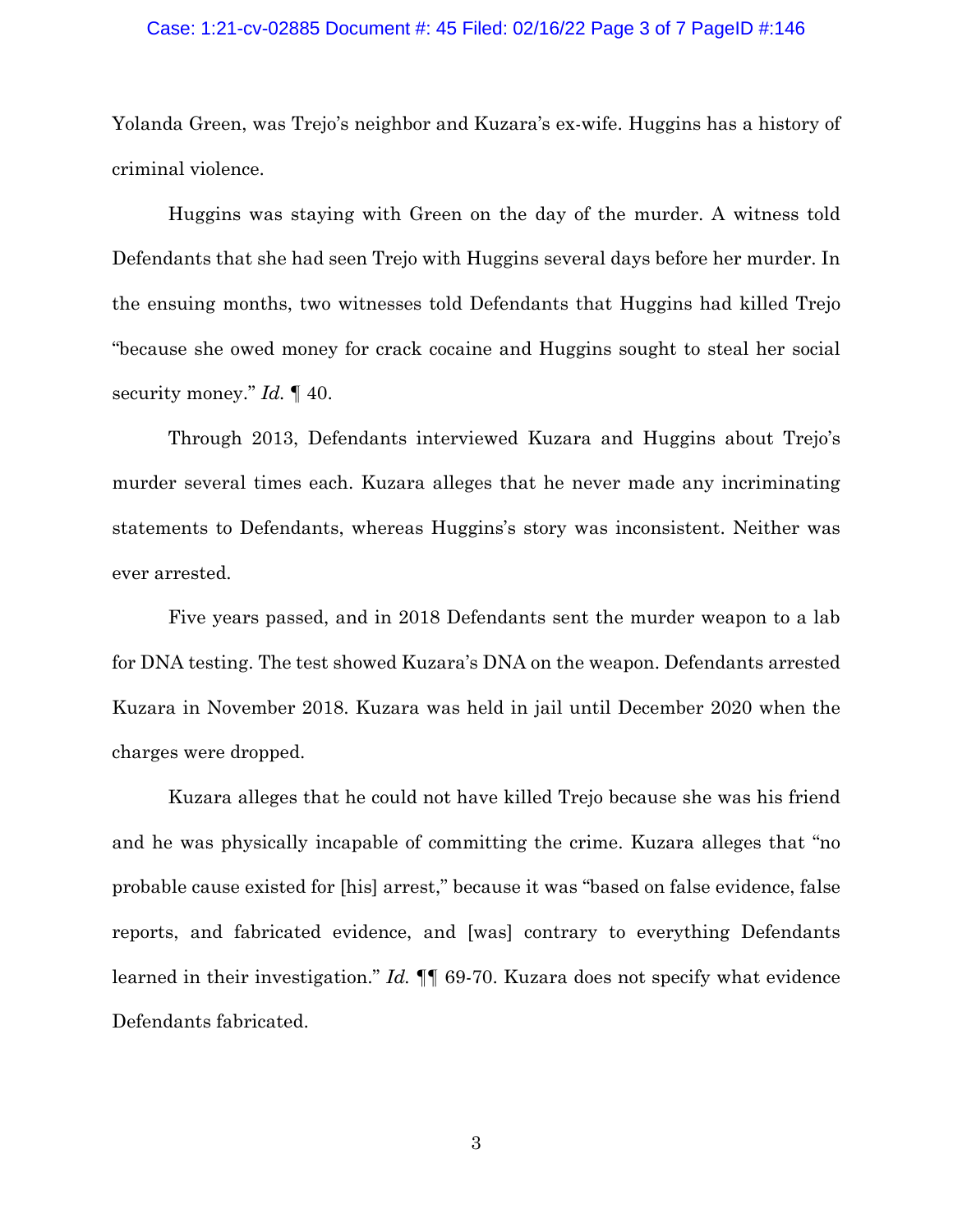#### Case: 1:21-cv-02885 Document #: 45 Filed: 02/16/22 Page 3 of 7 PageID #:146

Yolanda Green, was Trejo's neighbor and Kuzara's ex-wife. Huggins has a history of criminal violence.

Huggins was staying with Green on the day of the murder. A witness told Defendants that she had seen Trejo with Huggins several days before her murder. In the ensuing months, two witnesses told Defendants that Huggins had killed Trejo "because she owed money for crack cocaine and Huggins sought to steal her social security money." *Id.* ¶ 40.

Through 2013, Defendants interviewed Kuzara and Huggins about Trejo's murder several times each. Kuzara alleges that he never made any incriminating statements to Defendants, whereas Huggins's story was inconsistent. Neither was ever arrested.

Five years passed, and in 2018 Defendants sent the murder weapon to a lab for DNA testing. The test showed Kuzara's DNA on the weapon. Defendants arrested Kuzara in November 2018. Kuzara was held in jail until December 2020 when the charges were dropped.

Kuzara alleges that he could not have killed Trejo because she was his friend and he was physically incapable of committing the crime. Kuzara alleges that "no probable cause existed for [his] arrest," because it was "based on false evidence, false reports, and fabricated evidence, and [was] contrary to everything Defendants learned in their investigation." *Id.* ¶¶ 69-70. Kuzara does not specify what evidence Defendants fabricated.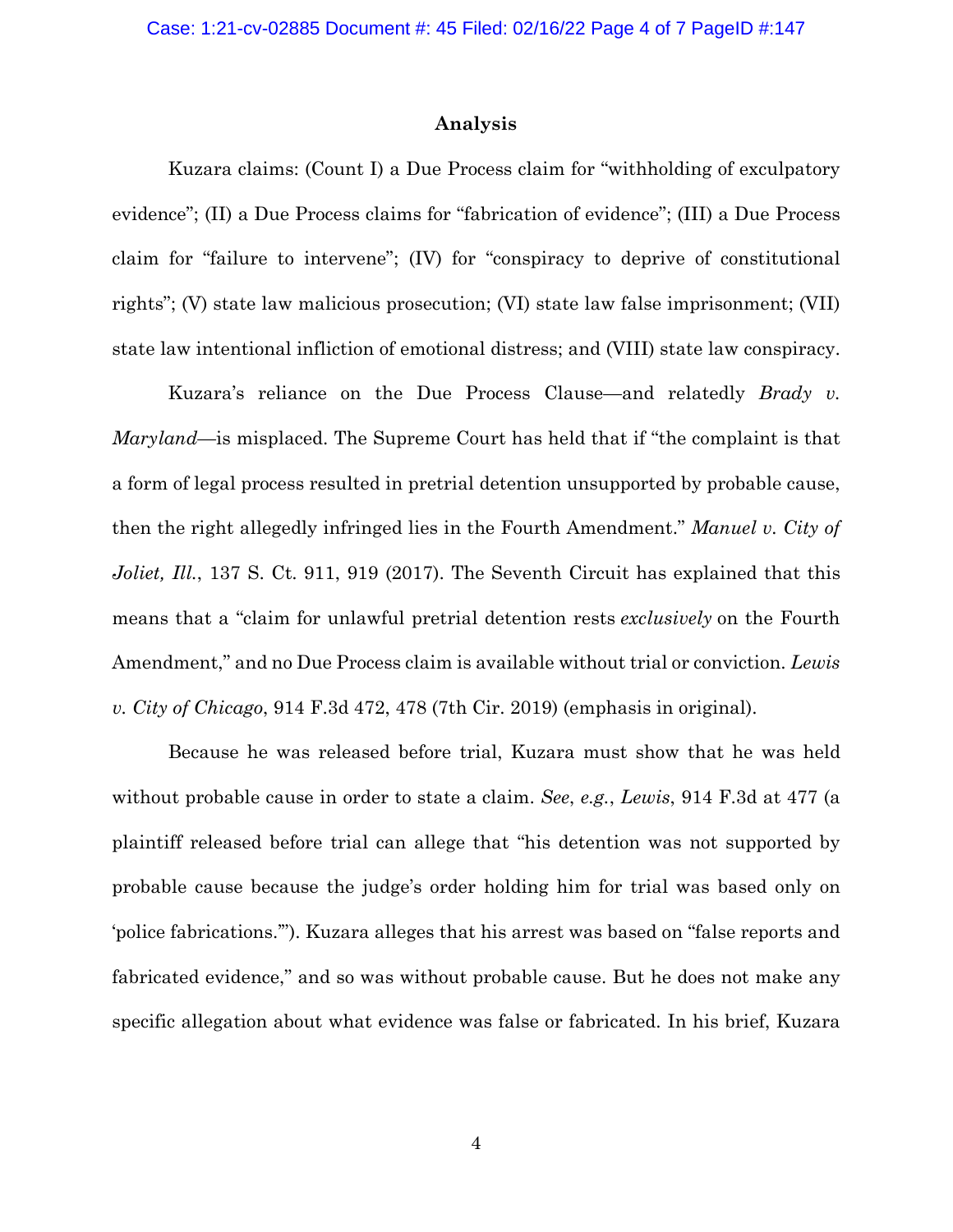## **Analysis**

Kuzara claims: (Count I) a Due Process claim for "withholding of exculpatory evidence"; (II) a Due Process claims for "fabrication of evidence"; (III) a Due Process claim for "failure to intervene"; (IV) for "conspiracy to deprive of constitutional rights"; (V) state law malicious prosecution; (VI) state law false imprisonment; (VII) state law intentional infliction of emotional distress; and (VIII) state law conspiracy.

Kuzara's reliance on the Due Process Clause—and relatedly *Brady v. Maryland*—is misplaced. The Supreme Court has held that if "the complaint is that a form of legal process resulted in pretrial detention unsupported by probable cause, then the right allegedly infringed lies in the Fourth Amendment." *Manuel v. City of Joliet, Ill.*, 137 S. Ct. 911, 919 (2017). The Seventh Circuit has explained that this means that a "claim for unlawful pretrial detention rests *exclusively* on the Fourth Amendment," and no Due Process claim is available without trial or conviction. *Lewis v. City of Chicago*, 914 F.3d 472, 478 (7th Cir. 2019) (emphasis in original).

Because he was released before trial, Kuzara must show that he was held without probable cause in order to state a claim. *See*, *e.g.*, *Lewis*, 914 F.3d at 477 (a plaintiff released before trial can allege that "his detention was not supported by probable cause because the judge's order holding him for trial was based only on 'police fabrications.'"). Kuzara alleges that his arrest was based on "false reports and fabricated evidence," and so was without probable cause. But he does not make any specific allegation about what evidence was false or fabricated. In his brief, Kuzara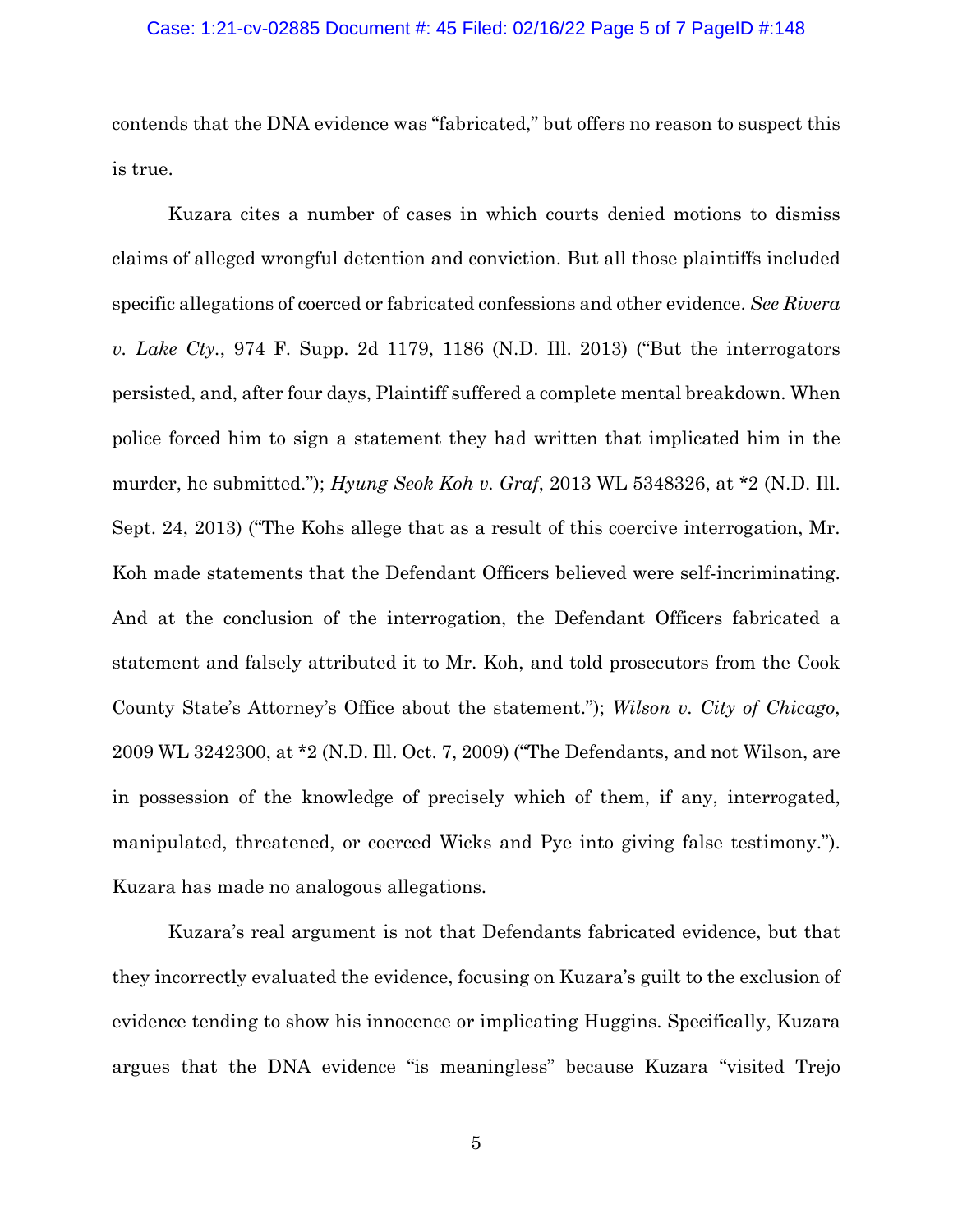#### Case: 1:21-cv-02885 Document #: 45 Filed: 02/16/22 Page 5 of 7 PageID #:148

contends that the DNA evidence was "fabricated," but offers no reason to suspect this is true.

Kuzara cites a number of cases in which courts denied motions to dismiss claims of alleged wrongful detention and conviction. But all those plaintiffs included specific allegations of coerced or fabricated confessions and other evidence. *See Rivera v. Lake Cty.*, 974 F. Supp. 2d 1179, 1186 (N.D. Ill. 2013) ("But the interrogators persisted, and, after four days, Plaintiff suffered a complete mental breakdown. When police forced him to sign a statement they had written that implicated him in the murder, he submitted."); *Hyung Seok Koh v. Graf*, 2013 WL 5348326, at \*2 (N.D. Ill. Sept. 24, 2013) ("The Kohs allege that as a result of this coercive interrogation, Mr. Koh made statements that the Defendant Officers believed were self-incriminating. And at the conclusion of the interrogation, the Defendant Officers fabricated a statement and falsely attributed it to Mr. Koh, and told prosecutors from the Cook County State's Attorney's Office about the statement."); *Wilson v. City of Chicago*, 2009 WL 3242300, at \*2 (N.D. Ill. Oct. 7, 2009) ("The Defendants, and not Wilson, are in possession of the knowledge of precisely which of them, if any, interrogated, manipulated, threatened, or coerced Wicks and Pye into giving false testimony."). Kuzara has made no analogous allegations.

Kuzara's real argument is not that Defendants fabricated evidence, but that they incorrectly evaluated the evidence, focusing on Kuzara's guilt to the exclusion of evidence tending to show his innocence or implicating Huggins. Specifically, Kuzara argues that the DNA evidence "is meaningless" because Kuzara "visited Trejo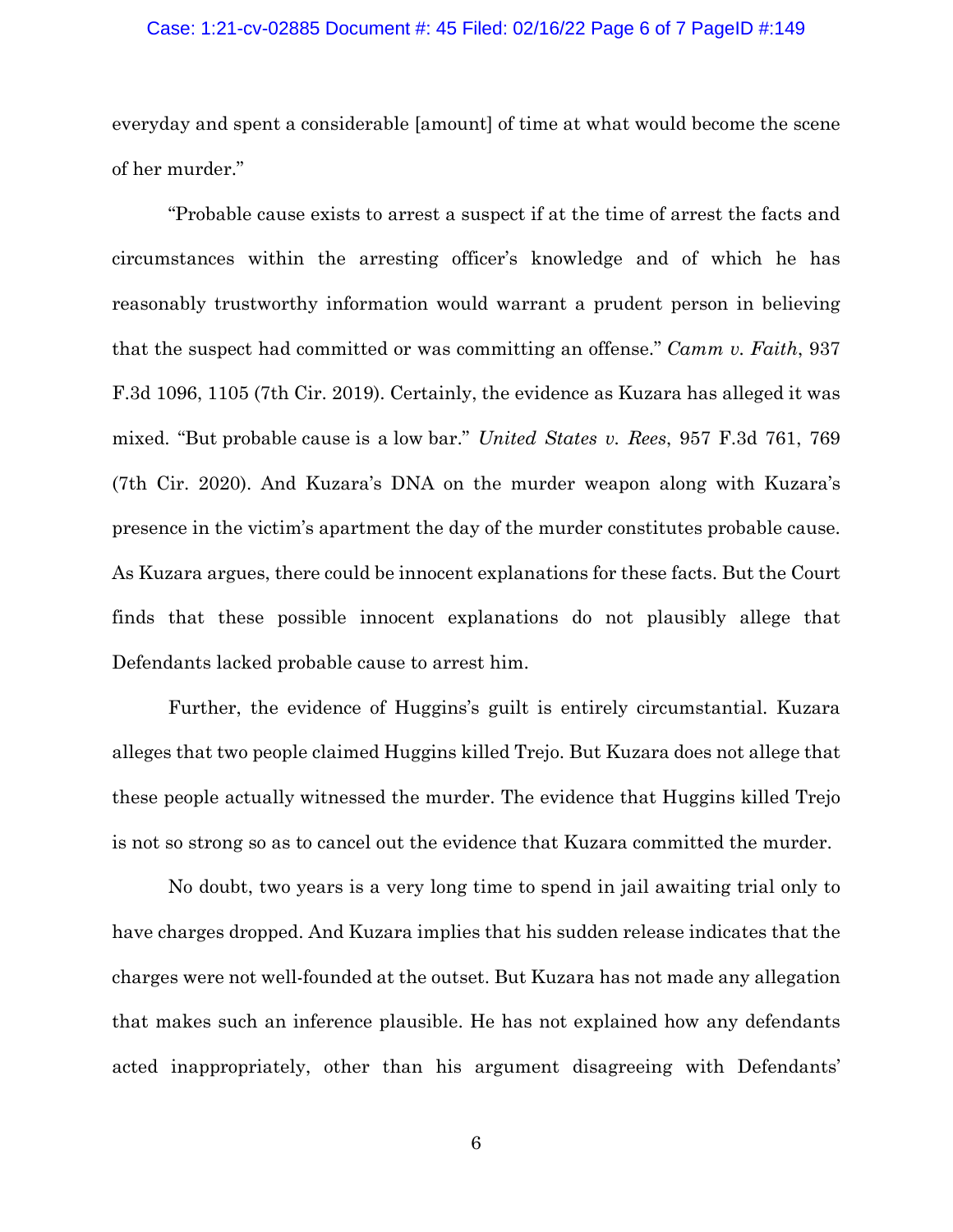## Case: 1:21-cv-02885 Document #: 45 Filed: 02/16/22 Page 6 of 7 PageID #:149

everyday and spent a considerable [amount] of time at what would become the scene of her murder."

"Probable cause exists to arrest a suspect if at the time of arrest the facts and circumstances within the arresting officer's knowledge and of which he has reasonably trustworthy information would warrant a prudent person in believing that the suspect had committed or was committing an offense." *Camm v. Faith*, 937 F.3d 1096, 1105 (7th Cir. 2019). Certainly, the evidence as Kuzara has alleged it was mixed. "But probable cause is a low bar." *United States v. Rees*, 957 F.3d 761, 769 (7th Cir. 2020). And Kuzara's DNA on the murder weapon along with Kuzara's presence in the victim's apartment the day of the murder constitutes probable cause. As Kuzara argues, there could be innocent explanations for these facts. But the Court finds that these possible innocent explanations do not plausibly allege that Defendants lacked probable cause to arrest him.

Further, the evidence of Huggins's guilt is entirely circumstantial. Kuzara alleges that two people claimed Huggins killed Trejo. But Kuzara does not allege that these people actually witnessed the murder. The evidence that Huggins killed Trejo is not so strong so as to cancel out the evidence that Kuzara committed the murder.

No doubt, two years is a very long time to spend in jail awaiting trial only to have charges dropped. And Kuzara implies that his sudden release indicates that the charges were not well-founded at the outset. But Kuzara has not made any allegation that makes such an inference plausible. He has not explained how any defendants acted inappropriately, other than his argument disagreeing with Defendants'

6